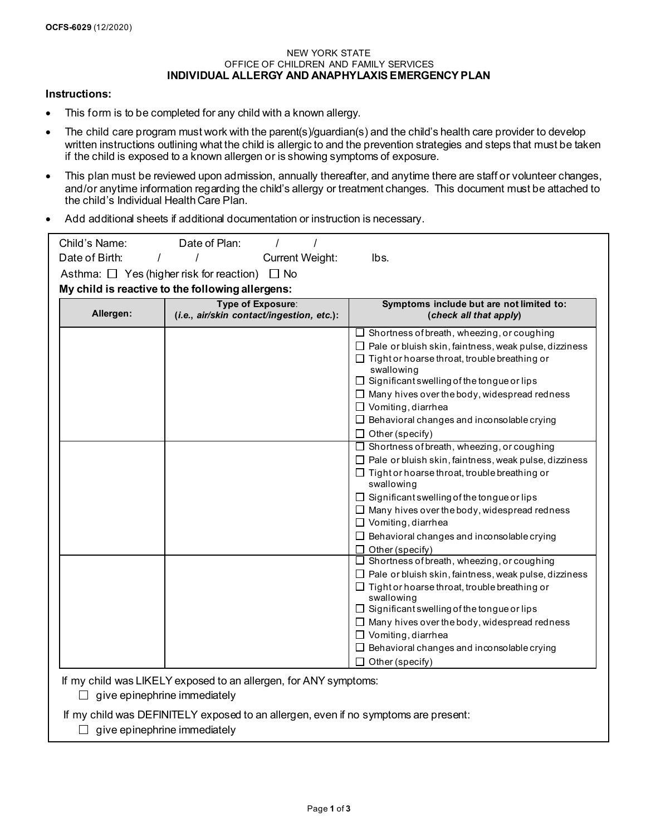#### NEW YORK STATE OFFICE OF CHILDREN AND FAMILY SERVICES **INDIVIDUAL ALLERGY AND ANAPHYLAXIS EMERGENCY PLAN**

#### **Instructions:**

- This form is to be completed for any child with a known allergy.
- The child care program must work with the parent(s)/guardian(s) and the child's health care provider to develop written instructions outlining what the child is allergic to and the prevention strategies and steps that must be taken if the child is exposed to a known allergen or is showing symptoms of exposure.
- This plan must be reviewed upon admission, annually thereafter, and anytime there are staff or volunteer changes, and/or anytime information regarding the child's allergy or treatment changes. This document must be attached to the child's Individual Health Care Plan.
- Add additional sheets if additional documentation or instruction is necessary.

| Child's Name:                                    | Date of Plan:                                           |                                                                   |  |  |  |  |  |
|--------------------------------------------------|---------------------------------------------------------|-------------------------------------------------------------------|--|--|--|--|--|
| Date of Birth:                                   | <b>Current Weight:</b>                                  | lbs.                                                              |  |  |  |  |  |
|                                                  | Asthma: $\Box$ Yes (higher risk for reaction) $\Box$ No |                                                                   |  |  |  |  |  |
| My child is reactive to the following allergens: |                                                         |                                                                   |  |  |  |  |  |
| Type of Exposure:                                |                                                         | Symptoms include but are not limited to:                          |  |  |  |  |  |
| Allergen:                                        | (i.e., air/skin contact/ingestion, etc.):               | (check all that apply)                                            |  |  |  |  |  |
|                                                  |                                                         | $\Box$ Shortness of breath, wheezing, or coughing                 |  |  |  |  |  |
|                                                  |                                                         | $\Box$ Pale or bluish skin, faintness, weak pulse, dizziness      |  |  |  |  |  |
|                                                  |                                                         | $\Box$ Tight or hoarse throat, trouble breathing or               |  |  |  |  |  |
|                                                  |                                                         | swallowing                                                        |  |  |  |  |  |
|                                                  |                                                         | $\Box$ Significant swelling of the tongue or lips                 |  |  |  |  |  |
|                                                  |                                                         | $\Box$ Many hives over the body, widespread redness               |  |  |  |  |  |
|                                                  |                                                         | $\Box$ Vomiting, diarrhea                                         |  |  |  |  |  |
|                                                  |                                                         | $\Box$ Behavioral changes and inconsolable crying                 |  |  |  |  |  |
|                                                  |                                                         | $\Box$ Other (specify)                                            |  |  |  |  |  |
|                                                  |                                                         | $\Box$ Shortness of breath, wheezing, or coughing                 |  |  |  |  |  |
|                                                  |                                                         | $\Box$ Pale or bluish skin, faintness, weak pulse, dizziness      |  |  |  |  |  |
|                                                  |                                                         | $\Box$ Tight or hoarse throat, trouble breathing or<br>swallowing |  |  |  |  |  |
|                                                  |                                                         | $\Box$ Significant swelling of the tongue or lips                 |  |  |  |  |  |
|                                                  |                                                         | $\Box$ Many hives over the body, widespread redness               |  |  |  |  |  |
|                                                  |                                                         | $\Box$ Vomiting, diarrhea                                         |  |  |  |  |  |
|                                                  |                                                         | $\Box$ Behavioral changes and inconsolable crying                 |  |  |  |  |  |
|                                                  |                                                         | $\Box$ Other (specify)                                            |  |  |  |  |  |
|                                                  |                                                         | $\Box$ Shortness of breath, wheezing, or coughing                 |  |  |  |  |  |
|                                                  |                                                         | $\Box$ Pale or bluish skin, faintness, weak pulse, dizziness      |  |  |  |  |  |
|                                                  |                                                         | $\Box$ Tight or hoarse throat, trouble breathing or               |  |  |  |  |  |
|                                                  |                                                         | swallowing<br>$\Box$ Significant swelling of the tongue or lips   |  |  |  |  |  |
|                                                  |                                                         | $\Box$ Many hives over the body, widespread redness               |  |  |  |  |  |
|                                                  |                                                         | $\Box$ Vomiting, diarrhea                                         |  |  |  |  |  |
|                                                  |                                                         | $\Box$ Behavioral changes and inconsolable crying                 |  |  |  |  |  |
|                                                  |                                                         | $\Box$ Other (specify)                                            |  |  |  |  |  |
|                                                  |                                                         |                                                                   |  |  |  |  |  |

If my child was LIKELY exposed to an allergen, for ANY symptoms:

 $\Box$  give epinephrine immediately

If my child was DEFINITELY exposed to an allergen, even if no symptoms are present:

 $\Box$  give epinephrine immediately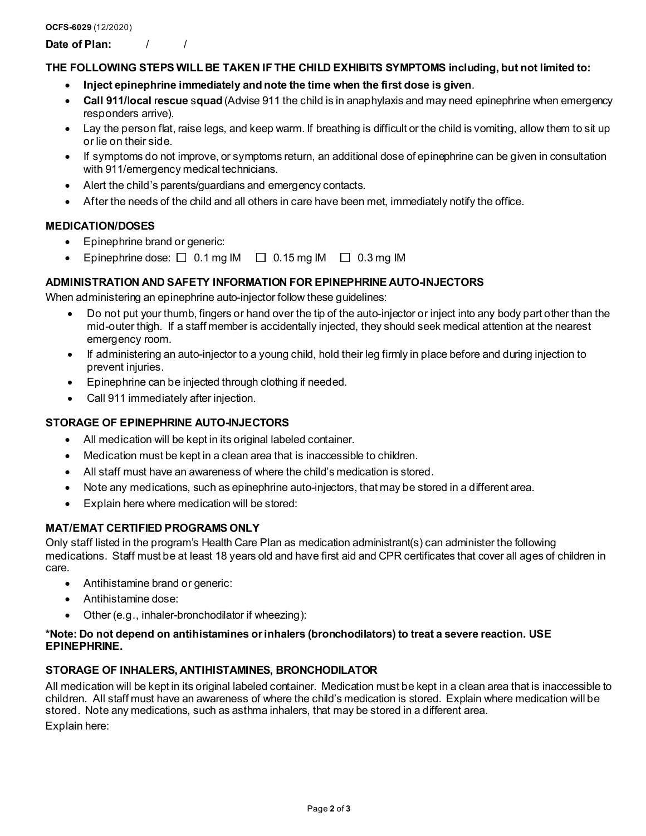**Date of Plan:** / /

## **THE FOLLOWING STEPS WILL BE TAKEN IF THE CHILD EXHIBITS SYMPTOMS including, but not limited to:**

- **Inject epinephrine immediately and note the time when the first dose is given**.
- **Call 911/**l**ocal** r**escue** s**quad** (Advise 911 the child is in anaphylaxis and may need epinephrine when emergency responders arrive).
- Lay the person flat, raise legs, and keep warm. If breathing is difficult or the child is vomiting, allow them to sit up or lie on their side.
- If symptoms do not improve, or symptoms return, an additional dose of epinephrine can be given in consultation with 911/emergency medical technicians.
- Alert the child's parents/guardians and emergency contacts.
- After the needs of the child and all others in care have been met, immediately notify the office.

# **MEDICATION/DOSES**

- Epinephrine brand or generic:
- Epinephrine dose:  $\Box$  0.1 mg IM  $\Box$  0.15 mg IM  $\Box$  0.3 mg IM

## **ADMINISTRATION AND SAFETY INFORMATION FOR EPINEPHRINE AUTO-INJECTORS**

When administering an epinephrine auto-injector follow these guidelines:

- Do not put your thumb, fingers or hand over the tip of the auto-injector or inject into any body part other than the mid-outer thigh. If a staff member is accidentally injected, they should seek medical attention at the nearest emergency room.
- If administering an auto-injector to a young child, hold their leg firmly in place before and during injection to prevent injuries.
- Epinephrine can be injected through clothing if needed.
- Call 911 immediately after injection.

### **STORAGE OF EPINEPHRINE AUTO-INJECTORS**

- All medication will be kept in its original labeled container.
- Medication must be kept in a clean area that is inaccessible to children.
- All staff must have an awareness of where the child's medication is stored.
- Note any medications, such as epinephrine auto-injectors, that may be stored in a different area.
- Explain here where medication will be stored:

# **MAT/EMAT CERTIFIED PROGRAMS ONLY**

Only staff listed in the program's Health Care Plan as medication administrant(s) can administer the following medications. Staff must be at least 18 years old and have first aid and CPR certificates that cover all ages of children in care.

- Antihistamine brand or generic:
- Antihistamine dose:
- Other (e.g., inhaler-bronchodilator if wheezing):

### **\*Note: Do not depend on antihistamines or inhalers (bronchodilators) to treat a severe reaction. USE EPINEPHRINE.**

### **STORAGE OF INHALERS, ANTIHISTAMINES, BRONCHODILATOR**

All medication will be kept in its original labeled container. Medication must be kept in a clean area that is inaccessible to children. All staff must have an awareness of where the child's medication is stored. Explain where medication will be stored. Note any medications, such as asthma inhalers, that may be stored in a different area.

Explain here: